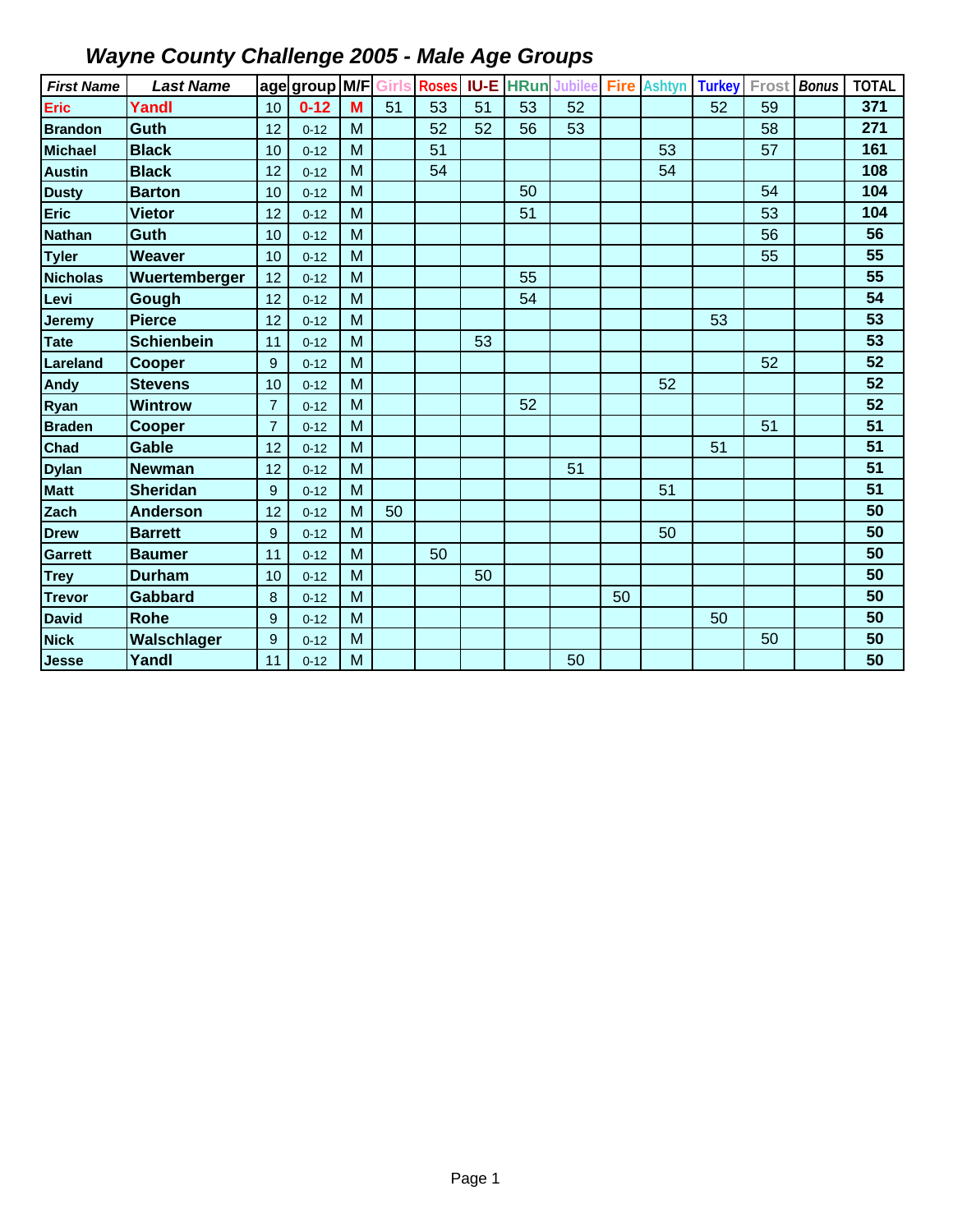| <b>First Name</b> | <b>Last Name</b>  |                  | age group M/F Girls |   |    | <b>Roses</b> | <b>IU-E</b> | <b>HRun</b> | <b>Jubilee</b> | <b>Fire</b> | <b>Ashtyn</b> | <b>Turkey</b> | Frost | <b>Bonus</b> | <b>TOTAL</b> |
|-------------------|-------------------|------------------|---------------------|---|----|--------------|-------------|-------------|----------------|-------------|---------------|---------------|-------|--------------|--------------|
| Eric              | Yandl             | 10               | $0 - 12$            | M | 51 | 53           | 51          | 53          | 52             |             |               | 52            | 59    |              | 371          |
| <b>Brandon</b>    | Guth              | 12               | $0 - 12$            | M |    | 52           | 52          | 56          | 53             |             |               |               | 58    |              | 271          |
| <b>Michael</b>    | <b>Black</b>      | 10               | $0 - 12$            | M |    | 51           |             |             |                |             | 53            |               | 57    |              | 161          |
| <b>Austin</b>     | <b>Black</b>      | 12               | $0 - 12$            | M |    | 54           |             |             |                |             | 54            |               |       |              | 108          |
| <b>Dusty</b>      | <b>Barton</b>     | 10               | $0 - 12$            | M |    |              |             | 50          |                |             |               |               | 54    |              | 104          |
| <b>Eric</b>       | <b>Vietor</b>     | 12               | $0 - 12$            | M |    |              |             | 51          |                |             |               |               | 53    |              | 104          |
| <b>Nathan</b>     | <b>Guth</b>       | 10               | $0 - 12$            | M |    |              |             |             |                |             |               |               | 56    |              | 56           |
| <b>Tyler</b>      | <b>Weaver</b>     | 10               | $0 - 12$            | M |    |              |             |             |                |             |               |               | 55    |              | 55           |
| <b>Nicholas</b>   | Wuertemberger     | 12               | $0 - 12$            | M |    |              |             | 55          |                |             |               |               |       |              | 55           |
| Levi              | Gough             | 12               | $0 - 12$            | M |    |              |             | 54          |                |             |               |               |       |              | 54           |
| <b>Jeremy</b>     | <b>Pierce</b>     | 12               | $0 - 12$            | M |    |              |             |             |                |             |               | 53            |       |              | 53           |
| <b>Tate</b>       | <b>Schienbein</b> | 11               | $0 - 12$            | M |    |              | 53          |             |                |             |               |               |       |              | 53           |
| Lareland          | Cooper            | $\boldsymbol{9}$ | $0 - 12$            | M |    |              |             |             |                |             |               |               | 52    |              | 52           |
| Andy              | <b>Stevens</b>    | 10               | $0 - 12$            | M |    |              |             |             |                |             | 52            |               |       |              | 52           |
| Ryan              | <b>Wintrow</b>    | $\overline{7}$   | $0 - 12$            | M |    |              |             | 52          |                |             |               |               |       |              | 52           |
| <b>Braden</b>     | <b>Cooper</b>     | $\overline{7}$   | $0 - 12$            | M |    |              |             |             |                |             |               |               | 51    |              | 51           |
| Chad              | <b>Gable</b>      | 12               | $0 - 12$            | M |    |              |             |             |                |             |               | 51            |       |              | 51           |
| <b>Dylan</b>      | <b>Newman</b>     | 12               | $0 - 12$            | M |    |              |             |             | 51             |             |               |               |       |              | 51           |
| <b>Matt</b>       | <b>Sheridan</b>   | 9                | $0 - 12$            | M |    |              |             |             |                |             | 51            |               |       |              | 51           |
| Zach              | <b>Anderson</b>   | 12               | $0 - 12$            | M | 50 |              |             |             |                |             |               |               |       |              | 50           |
| <b>Drew</b>       | <b>Barrett</b>    | 9                | $0 - 12$            | M |    |              |             |             |                |             | 50            |               |       |              | 50           |
| <b>Garrett</b>    | <b>Baumer</b>     | 11               | $0 - 12$            | M |    | 50           |             |             |                |             |               |               |       |              | 50           |
| <b>Trey</b>       | <b>Durham</b>     | 10               | $0 - 12$            | M |    |              | 50          |             |                |             |               |               |       |              | 50           |
| <b>Trevor</b>     | Gabbard           | 8                | $0 - 12$            | M |    |              |             |             |                | 50          |               |               |       |              | 50           |
| <b>David</b>      | <b>Rohe</b>       | 9                | $0 - 12$            | M |    |              |             |             |                |             |               | 50            |       |              | 50           |
| <b>Nick</b>       | Walschlager       | $9\,$            | $0 - 12$            | M |    |              |             |             |                |             |               |               | 50    |              | 50           |
| <b>Jesse</b>      | Yandl             | 11               | $0 - 12$            | M |    |              |             |             | 50             |             |               |               |       |              | 50           |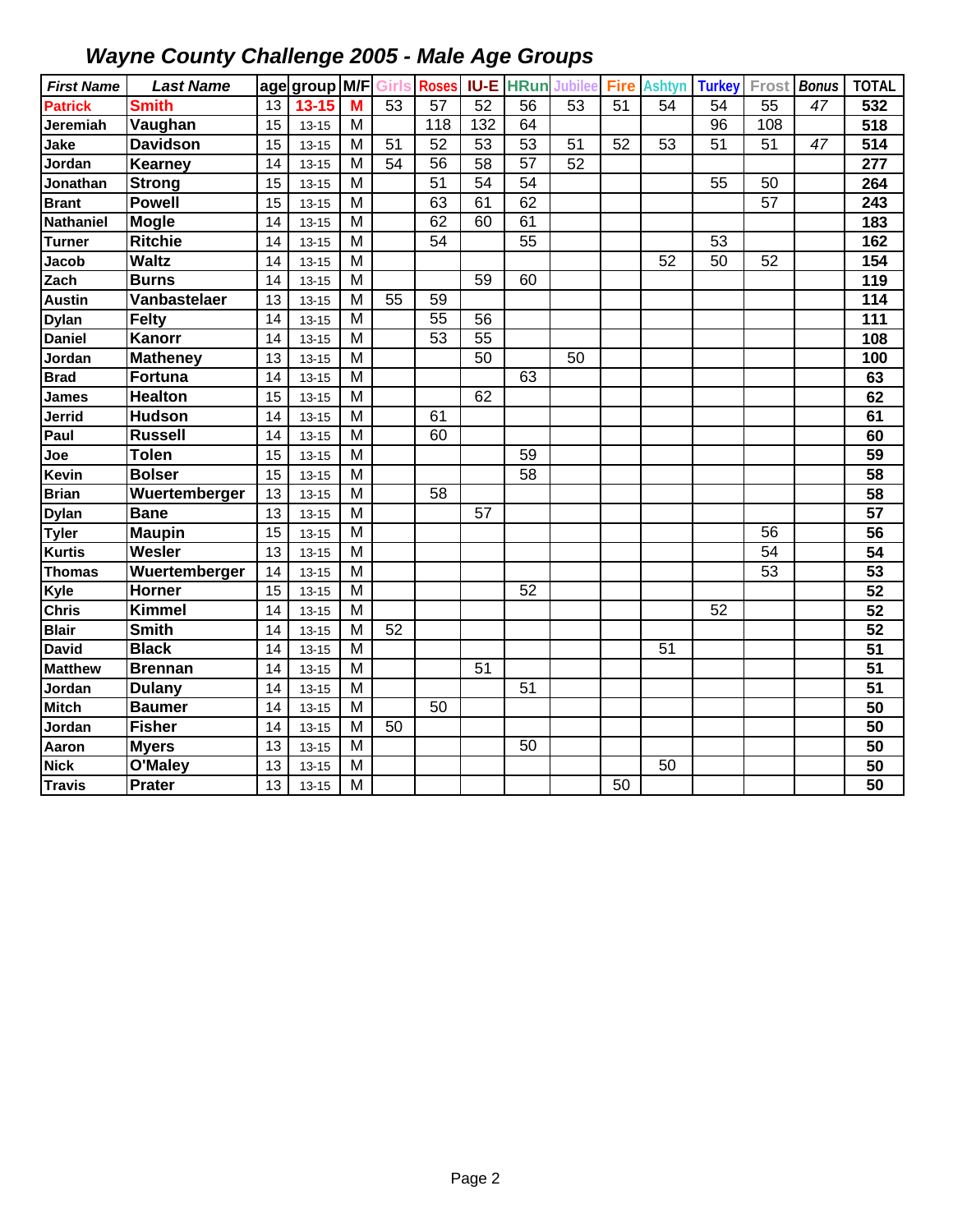| <b>First Name</b> | <b>Last Name</b> |    | age group M/F |   | <b>Girls</b> | <b>Roses</b>     |                 | <b>IU-E HRun</b> | <b>Jubilee</b>  | <b>Fire</b>     | <b>Ashtyn</b>   | <b>Turkey</b> | Frost           | <b>Bonus</b> | <b>TOTAL</b>    |
|-------------------|------------------|----|---------------|---|--------------|------------------|-----------------|------------------|-----------------|-----------------|-----------------|---------------|-----------------|--------------|-----------------|
| <b>Patrick</b>    | <b>Smith</b>     | 13 | $13 - 15$     | M | 53           | 57               | $\overline{52}$ | 56               | $\overline{53}$ | 51              | 54              | 54            | 55              | 47           | 532             |
| Jeremiah          | Vaughan          | 15 | $13 - 15$     | M |              | $\overline{118}$ | 132             | 64               |                 |                 |                 | 96            | 108             |              | 518             |
| Jake              | <b>Davidson</b>  | 15 | $13 - 15$     | M | 51           | 52               | 53              | 53               | 51              | 52              | 53              | 51            | 51              | 47           | 514             |
| Jordan            | Kearney          | 14 | $13 - 15$     | M | 54           | 56               | 58              | 57               | 52              |                 |                 |               |                 |              | 277             |
| Jonathan          | <b>Strong</b>    | 15 | $13 - 15$     | M |              | 51               | 54              | 54               |                 |                 |                 | 55            | 50              |              | 264             |
| <b>Brant</b>      | <b>Powell</b>    | 15 | $13 - 15$     | M |              | 63               | 61              | 62               |                 |                 |                 |               | 57              |              | 243             |
| <b>Nathaniel</b>  | <b>Mogle</b>     | 14 | $13 - 15$     | M |              | 62               | 60              | 61               |                 |                 |                 |               |                 |              | 183             |
| <b>Turner</b>     | <b>Ritchie</b>   | 14 | $13 - 15$     | M |              | $\overline{54}$  |                 | $\overline{55}$  |                 |                 |                 | 53            |                 |              | 162             |
| Jacob             | <b>Waltz</b>     | 14 | $13 - 15$     | M |              |                  |                 |                  |                 |                 | 52              | 50            | 52              |              | 154             |
| Zach              | <b>Burns</b>     | 14 | $13 - 15$     | M |              |                  | 59              | 60               |                 |                 |                 |               |                 |              | 119             |
| <b>Austin</b>     | Vanbastelaer     | 13 | $13 - 15$     | M | 55           | 59               |                 |                  |                 |                 |                 |               |                 |              | 114             |
| <b>Dylan</b>      | <b>Felty</b>     | 14 | $13 - 15$     | M |              | 55               | 56              |                  |                 |                 |                 |               |                 |              | 111             |
| <b>Daniel</b>     | Kanorr           | 14 | $13 - 15$     | M |              | 53               | 55              |                  |                 |                 |                 |               |                 |              | 108             |
| Jordan            | <b>Matheney</b>  | 13 | $13 - 15$     | M |              |                  | 50              |                  | $\overline{50}$ |                 |                 |               |                 |              | 100             |
| <b>Brad</b>       | <b>Fortuna</b>   | 14 | $13 - 15$     | M |              |                  |                 | 63               |                 |                 |                 |               |                 |              | 63              |
| <b>James</b>      | <b>Healton</b>   | 15 | $13 - 15$     | M |              |                  | 62              |                  |                 |                 |                 |               |                 |              | 62              |
| Jerrid            | <b>Hudson</b>    | 14 | $13 - 15$     | M |              | 61               |                 |                  |                 |                 |                 |               |                 |              | 61              |
| Paul              | <b>Russell</b>   | 14 | $13 - 15$     | M |              | 60               |                 |                  |                 |                 |                 |               |                 |              | 60              |
| Joe               | <b>Tolen</b>     | 15 | $13 - 15$     | M |              |                  |                 | 59               |                 |                 |                 |               |                 |              | $\overline{59}$ |
| Kevin             | <b>Bolser</b>    | 15 | $13 - 15$     | M |              |                  |                 | 58               |                 |                 |                 |               |                 |              | 58              |
| <b>Brian</b>      | Wuertemberger    | 13 | $13 - 15$     | M |              | 58               |                 |                  |                 |                 |                 |               |                 |              | $\overline{58}$ |
| <b>Dylan</b>      | <b>Bane</b>      | 13 | $13 - 15$     | M |              |                  | 57              |                  |                 |                 |                 |               |                 |              | 57              |
| <b>Tyler</b>      | <b>Maupin</b>    | 15 | $13 - 15$     | M |              |                  |                 |                  |                 |                 |                 |               | 56              |              | $\overline{56}$ |
| <b>Kurtis</b>     | Wesler           | 13 | $13 - 15$     | M |              |                  |                 |                  |                 |                 |                 |               | 54              |              | $\overline{54}$ |
| <b>Thomas</b>     | Wuertemberger    | 14 | $13 - 15$     | M |              |                  |                 |                  |                 |                 |                 |               | $\overline{53}$ |              | 53              |
| Kyle              | <b>Horner</b>    | 15 | $13 - 15$     | M |              |                  |                 | 52               |                 |                 |                 |               |                 |              | 52              |
| <b>Chris</b>      | <b>Kimmel</b>    | 14 | $13 - 15$     | M |              |                  |                 |                  |                 |                 |                 | 52            |                 |              | 52              |
| <b>Blair</b>      | <b>Smith</b>     | 14 | $13 - 15$     | M | 52           |                  |                 |                  |                 |                 |                 |               |                 |              | 52              |
| <b>David</b>      | <b>Black</b>     | 14 | $13 - 15$     | M |              |                  |                 |                  |                 |                 | $\overline{51}$ |               |                 |              | $\overline{51}$ |
| <b>Matthew</b>    | <b>Brennan</b>   | 14 | $13 - 15$     | M |              |                  | $\overline{51}$ |                  |                 |                 |                 |               |                 |              | $\overline{51}$ |
| Jordan            | <b>Dulany</b>    | 14 | $13 - 15$     | M |              |                  |                 | $\overline{51}$  |                 |                 |                 |               |                 |              | $\overline{51}$ |
| <b>Mitch</b>      | <b>Baumer</b>    | 14 | $13 - 15$     | M |              | 50               |                 |                  |                 |                 |                 |               |                 |              | $\overline{50}$ |
| Jordan            | <b>Fisher</b>    | 14 | $13 - 15$     | M | 50           |                  |                 |                  |                 |                 |                 |               |                 |              | 50              |
| Aaron             | <b>Myers</b>     | 13 | $13 - 15$     | M |              |                  |                 | 50               |                 |                 |                 |               |                 |              | 50              |
| <b>Nick</b>       | O'Maley          | 13 | $13 - 15$     | M |              |                  |                 |                  |                 |                 | 50              |               |                 |              | $\overline{50}$ |
| <b>Travis</b>     | Prater           | 13 | $13 - 15$     | M |              |                  |                 |                  |                 | $\overline{50}$ |                 |               |                 |              | $\overline{50}$ |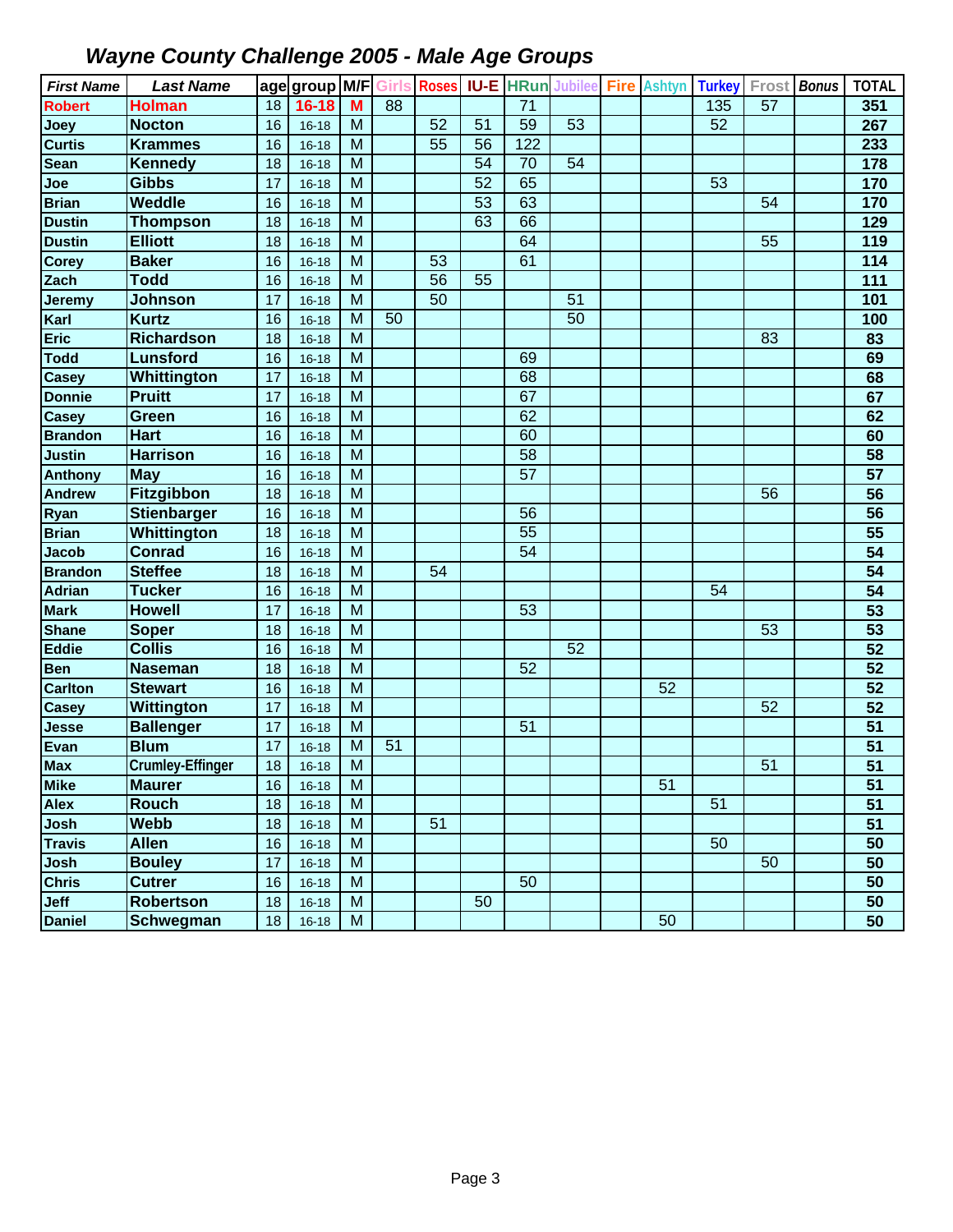| <b>First Name</b> | <b>Last Name</b>        |    | age group M/F Girls |           |    | <b>Roses</b> |    |                 | <b>IU-E HRun Jubilee Fire Ashtyn</b> |    | <b>Turkey</b>   |    | Frost Bonus | <b>TOTAL</b>    |
|-------------------|-------------------------|----|---------------------|-----------|----|--------------|----|-----------------|--------------------------------------|----|-----------------|----|-------------|-----------------|
| <b>Robert</b>     | <b>Holman</b>           | 18 | $16 - 18$           | M         | 88 |              |    | $\overline{71}$ |                                      |    | 135             | 57 |             | 351             |
| Joey              | <b>Nocton</b>           | 16 | $16 - 18$           | M         |    | 52           | 51 | 59              | 53                                   |    | $\overline{52}$ |    |             | 267             |
| <b>Curtis</b>     | <b>Krammes</b>          | 16 | $16 - 18$           | M         |    | 55           | 56 | 122             |                                      |    |                 |    |             | 233             |
| <b>Sean</b>       | <b>Kennedy</b>          | 18 | $16 - 18$           | M         |    |              | 54 | 70              | 54                                   |    |                 |    |             | 178             |
| Joe               | <b>Gibbs</b>            | 17 | $16 - 18$           | M         |    |              | 52 | 65              |                                      |    | 53              |    |             | 170             |
| <b>Brian</b>      | <b>Weddle</b>           | 16 | $16 - 18$           | M         |    |              | 53 | 63              |                                      |    |                 | 54 |             | 170             |
| <b>Dustin</b>     | <b>Thompson</b>         | 18 | $16 - 18$           | M         |    |              | 63 | 66              |                                      |    |                 |    |             | 129             |
| <b>Dustin</b>     | <b>Elliott</b>          | 18 | $16 - 18$           | M         |    |              |    | 64              |                                      |    |                 | 55 |             | 119             |
| <b>Corey</b>      | <b>Baker</b>            | 16 | $16 - 18$           | M         |    | 53           |    | 61              |                                      |    |                 |    |             | 114             |
| Zach              | <b>Todd</b>             | 16 | $16 - 18$           | M         |    | 56           | 55 |                 |                                      |    |                 |    |             | 111             |
| <b>Jeremy</b>     | <b>Johnson</b>          | 17 | $16 - 18$           | M         |    | 50           |    |                 | 51                                   |    |                 |    |             | 101             |
| Karl              | <b>Kurtz</b>            | 16 | $16 - 18$           | M         | 50 |              |    |                 | 50                                   |    |                 |    |             | 100             |
| <b>Eric</b>       | <b>Richardson</b>       | 18 | $16 - 18$           | M         |    |              |    |                 |                                      |    |                 | 83 |             | 83              |
| <b>Todd</b>       | <b>Lunsford</b>         | 16 | $16 - 18$           | M         |    |              |    | 69              |                                      |    |                 |    |             | 69              |
| <b>Casey</b>      | Whittington             | 17 | $16 - 18$           | M         |    |              |    | $\overline{68}$ |                                      |    |                 |    |             | 68              |
| <b>Donnie</b>     | <b>Pruitt</b>           | 17 | $16 - 18$           | M         |    |              |    | 67              |                                      |    |                 |    |             | 67              |
| <b>Casey</b>      | Green                   | 16 | $16 - 18$           | M         |    |              |    | 62              |                                      |    |                 |    |             | 62              |
| <b>Brandon</b>    | <b>Hart</b>             | 16 | $16 - 18$           | M         |    |              |    | 60              |                                      |    |                 |    |             | 60              |
| <b>Justin</b>     | <b>Harrison</b>         | 16 | $16 - 18$           | M         |    |              |    | 58              |                                      |    |                 |    |             | 58              |
| <b>Anthony</b>    | <b>May</b>              | 16 | $16 - 18$           | M         |    |              |    | $\overline{57}$ |                                      |    |                 |    |             | 57              |
| <b>Andrew</b>     | Fitzgibbon              | 18 | $16 - 18$           | M         |    |              |    |                 |                                      |    |                 | 56 |             | 56              |
| Ryan              | Stienbarger             | 16 | $16 - 18$           | M         |    |              |    | 56              |                                      |    |                 |    |             | 56              |
| <b>Brian</b>      | Whittington             | 18 | $16 - 18$           | M         |    |              |    | $\overline{55}$ |                                      |    |                 |    |             | 55              |
| <b>Jacob</b>      | <b>Conrad</b>           | 16 | $16 - 18$           | M         |    |              |    | 54              |                                      |    |                 |    |             | 54              |
| <b>Brandon</b>    | <b>Steffee</b>          | 18 | $16 - 18$           | M         |    | 54           |    |                 |                                      |    |                 |    |             | $\overline{54}$ |
| <b>Adrian</b>     | <b>Tucker</b>           | 16 | $16 - 18$           | M         |    |              |    |                 |                                      |    | 54              |    |             | 54              |
| <b>Mark</b>       | <b>Howell</b>           | 17 | $16 - 18$           | M         |    |              |    | 53              |                                      |    |                 |    |             | 53              |
| <b>Shane</b>      | <b>Soper</b>            | 18 | $16 - 18$           | M         |    |              |    |                 |                                      |    |                 | 53 |             | $\overline{53}$ |
| <b>Eddie</b>      | <b>Collis</b>           | 16 | $16 - 18$           | M         |    |              |    |                 | 52                                   |    |                 |    |             | 52              |
| <b>Ben</b>        | <b>Naseman</b>          | 18 | $16 - 18$           | M         |    |              |    | 52              |                                      |    |                 |    |             | 52              |
| <b>Carlton</b>    | <b>Stewart</b>          | 16 | $16 - 18$           | M         |    |              |    |                 |                                      | 52 |                 |    |             | 52              |
| <b>Casey</b>      | Wittington              | 17 | $16 - 18$           | M         |    |              |    |                 |                                      |    |                 | 52 |             | $\overline{52}$ |
| <b>Jesse</b>      | <b>Ballenger</b>        | 17 | $16 - 18$           | M         |    |              |    | 51              |                                      |    |                 |    |             | 51              |
| Evan              | <b>Blum</b>             | 17 | $16 - 18$           | M         | 51 |              |    |                 |                                      |    |                 |    |             | 51              |
| <b>Max</b>        | <b>Crumley-Effinger</b> | 18 | $16 - 18$           | M         |    |              |    |                 |                                      |    |                 | 51 |             | 51              |
| <b>Mike</b>       | <b>Maurer</b>           | 16 | $16 - 18$           | M         |    |              |    |                 |                                      | 51 |                 |    |             | 51              |
| <b>Alex</b>       | <b>Rouch</b>            | 18 | $16 - 18$           | M         |    |              |    |                 |                                      |    | 51              |    |             | 51              |
| Josh              | <b>Webb</b>             | 18 | $16 - 18$           | M         |    | 51           |    |                 |                                      |    |                 |    |             | 51              |
| <b>Travis</b>     | <b>Allen</b>            | 16 | $16 - 18$           | M         |    |              |    |                 |                                      |    | 50              |    |             | 50              |
| Josh              | <b>Bouley</b>           | 17 | $16 - 18$           | M         |    |              |    |                 |                                      |    |                 | 50 |             | 50              |
| <b>Chris</b>      | <b>Cutrer</b>           | 16 | $16 - 18$           | M         |    |              |    | 50              |                                      |    |                 |    |             | 50              |
| Jeff              | <b>Robertson</b>        | 18 | $16 - 18$           | M         |    |              | 50 |                 |                                      |    |                 |    |             | 50              |
| <b>Daniel</b>     | Schwegman               | 18 | $16 - 18$           | ${\sf M}$ |    |              |    |                 |                                      | 50 |                 |    |             | $\overline{50}$ |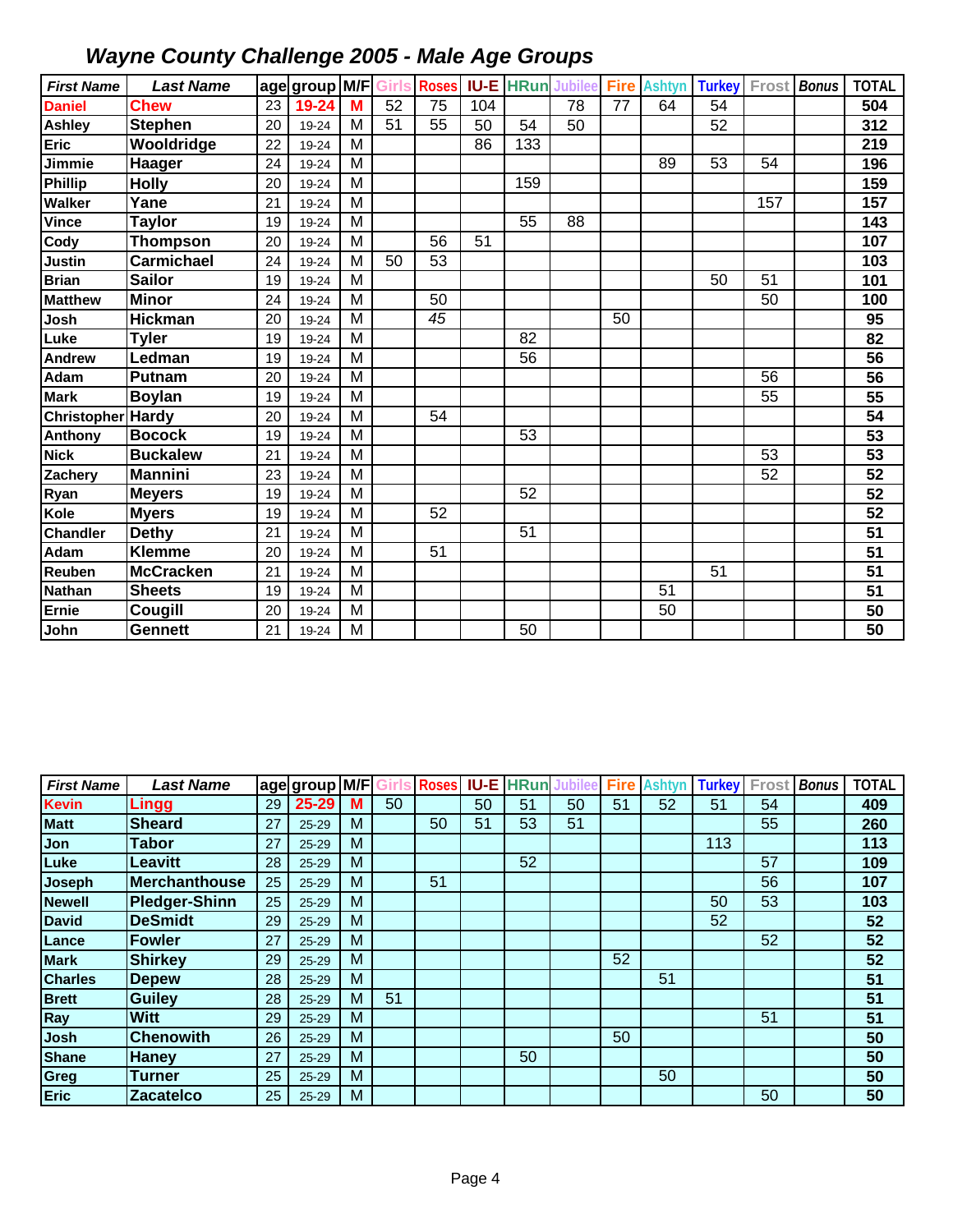| <b>First Name</b> | <b>Last Name</b>  |    | age group M/F Girls Roses |                |    |    |     | <b>IU-E HRun</b> | Jubilee Fire |    | <b>Ashtyn</b>   | <b>Turkey</b> | Frost           | <b>Bonus</b> | <b>TOTAL</b>     |
|-------------------|-------------------|----|---------------------------|----------------|----|----|-----|------------------|--------------|----|-----------------|---------------|-----------------|--------------|------------------|
| <b>Daniel</b>     | <b>Chew</b>       | 23 | 19-24                     | M              | 52 | 75 | 104 |                  | 78           | 77 | 64              | 54            |                 |              | 504              |
| Ashley            | <b>Stephen</b>    | 20 | 19-24                     | M              | 51 | 55 | 50  | 54               | 50           |    |                 | 52            |                 |              | 312              |
| <b>Eric</b>       | Wooldridge        | 22 | 19-24                     | M              |    |    | 86  | 133              |              |    |                 |               |                 |              | 219              |
| Jimmie            | Haager            | 24 | 19-24                     | M              |    |    |     |                  |              |    | 89              | 53            | 54              |              | 196              |
| Phillip           | <b>Holly</b>      | 20 | 19-24                     | M              |    |    |     | 159              |              |    |                 |               |                 |              | 159              |
| Walker            | Yane              | 21 | 19-24                     | M              |    |    |     |                  |              |    |                 |               | 157             |              | 157              |
| Vince             | <b>Taylor</b>     | 19 | 19-24                     | M              |    |    |     | 55               | 88           |    |                 |               |                 |              | $\overline{143}$ |
| Cody              | <b>Thompson</b>   | 20 | 19-24                     | M              |    | 56 | 51  |                  |              |    |                 |               |                 |              | 107              |
| Justin            | <b>Carmichael</b> | 24 | 19-24                     | M              | 50 | 53 |     |                  |              |    |                 |               |                 |              | 103              |
| <b>Brian</b>      | <b>Sailor</b>     | 19 | 19-24                     | M              |    |    |     |                  |              |    |                 | 50            | 51              |              | 101              |
| <b>Matthew</b>    | <b>Minor</b>      | 24 | 19-24                     | M              |    | 50 |     |                  |              |    |                 |               | 50              |              | 100              |
| Josh              | <b>Hickman</b>    | 20 | 19-24                     | M              |    | 45 |     |                  |              | 50 |                 |               |                 |              | 95               |
| Luke              | <b>Tyler</b>      | 19 | 19-24                     | M              |    |    |     | 82               |              |    |                 |               |                 |              | 82               |
| <b>Andrew</b>     | Ledman            | 19 | 19-24                     | M              |    |    |     | 56               |              |    |                 |               |                 |              | $\overline{56}$  |
| Adam              | <b>Putnam</b>     | 20 | 19-24                     | M              |    |    |     |                  |              |    |                 |               | 56              |              | 56               |
| <b>Mark</b>       | <b>Boylan</b>     | 19 | 19-24                     | M              |    |    |     |                  |              |    |                 |               | $\overline{55}$ |              | 55               |
| Christopher Hardy |                   | 20 | 19-24                     | M              |    | 54 |     |                  |              |    |                 |               |                 |              | 54               |
| Anthony           | <b>Bocock</b>     | 19 | 19-24                     | M              |    |    |     | 53               |              |    |                 |               |                 |              | $\overline{53}$  |
| <b>Nick</b>       | <b>Buckalew</b>   | 21 | 19-24                     | M              |    |    |     |                  |              |    |                 |               | 53              |              | 53               |
| Zachery           | <b>Mannini</b>    | 23 | 19-24                     | M              |    |    |     |                  |              |    |                 |               | 52              |              | 52               |
| Ryan              | <b>Meyers</b>     | 19 | 19-24                     | M              |    |    |     | 52               |              |    |                 |               |                 |              | 52               |
| Kole              | <b>Myers</b>      | 19 | 19-24                     | M              |    | 52 |     |                  |              |    |                 |               |                 |              | 52               |
| <b>Chandler</b>   | Dethy             | 21 | 19-24                     | M              |    |    |     | 51               |              |    |                 |               |                 |              | 51               |
| Adam              | <b>Klemme</b>     | 20 | 19-24                     | M              |    | 51 |     |                  |              |    |                 |               |                 |              | 51               |
| Reuben            | <b>McCracken</b>  | 21 | 19-24                     | $\overline{M}$ |    |    |     |                  |              |    |                 | 51            |                 |              | $\overline{51}$  |
| <b>Nathan</b>     | <b>Sheets</b>     | 19 | 19-24                     | M              |    |    |     |                  |              |    | 51              |               |                 |              | 51               |
| <b>Ernie</b>      | Cougill           | 20 | 19-24                     | M              |    |    |     |                  |              |    | $\overline{50}$ |               |                 |              | 50               |
| John              | Gennett           | 21 | 19-24                     | M              |    |    |     | 50               |              |    |                 |               |                 |              | 50               |

| <b>First Name</b> | <b>Last Name</b>     |    | age group M/FT |   |    |    |    | s Roses IU-E HRun Jubilee |    |    | <b>Fire Ashtyn</b> | <b>Turkey</b> | Frost | <b>Bonus</b> | <b>TOTAL</b> |
|-------------------|----------------------|----|----------------|---|----|----|----|---------------------------|----|----|--------------------|---------------|-------|--------------|--------------|
| <b>Kevin</b>      | Lingg                | 29 | $25 - 29$      | M | 50 |    | 50 | 51                        | 50 | 51 | 52                 | 51            | 54    |              | 409          |
| <b>Matt</b>       | <b>Sheard</b>        | 27 | 25-29          | M |    | 50 | 51 | 53                        | 51 |    |                    |               | 55    |              | 260          |
| Jon               | Tabor                | 27 | $25 - 29$      | M |    |    |    |                           |    |    |                    | 113           |       |              | 113          |
| Luke              | <b>Leavitt</b>       | 28 | $25 - 29$      | M |    |    |    | 52                        |    |    |                    |               | 57    |              | 109          |
| Joseph            | <b>Merchanthouse</b> | 25 | $25 - 29$      | M |    | 51 |    |                           |    |    |                    |               | 56    |              | 107          |
| <b>Newell</b>     | <b>Pledger-Shinn</b> | 25 | 25-29          | M |    |    |    |                           |    |    |                    | 50            | 53    |              | 103          |
| <b>David</b>      | <b>DeSmidt</b>       | 29 | $25 - 29$      | M |    |    |    |                           |    |    |                    | 52            |       |              | 52           |
| Lance             | <b>Fowler</b>        | 27 | 25-29          | M |    |    |    |                           |    |    |                    |               | 52    |              | 52           |
| <b>Mark</b>       | <b>Shirkey</b>       | 29 | $25 - 29$      | M |    |    |    |                           |    | 52 |                    |               |       |              | 52           |
| <b>Charles</b>    | <b>Depew</b>         | 28 | 25-29          | M |    |    |    |                           |    |    | 51                 |               |       |              | 51           |
| <b>Brett</b>      | <b>Guiley</b>        | 28 | $25 - 29$      | M | 51 |    |    |                           |    |    |                    |               |       |              | 51           |
| Ray               | <b>Witt</b>          | 29 | 25-29          | M |    |    |    |                           |    |    |                    |               | 51    |              | 51           |
| Josh              | <b>Chenowith</b>     | 26 | $25 - 29$      | M |    |    |    |                           |    | 50 |                    |               |       |              | 50           |
| <b>Shane</b>      | <b>Haney</b>         | 27 | 25-29          | M |    |    |    | 50                        |    |    |                    |               |       |              | 50           |
| Greg              | <b>Turner</b>        | 25 | $25 - 29$      | M |    |    |    |                           |    |    | 50                 |               |       |              | 50           |
| <b>Eric</b>       | <b>Zacatelco</b>     | 25 | 25-29          | M |    |    |    |                           |    |    |                    |               | 50    |              | 50           |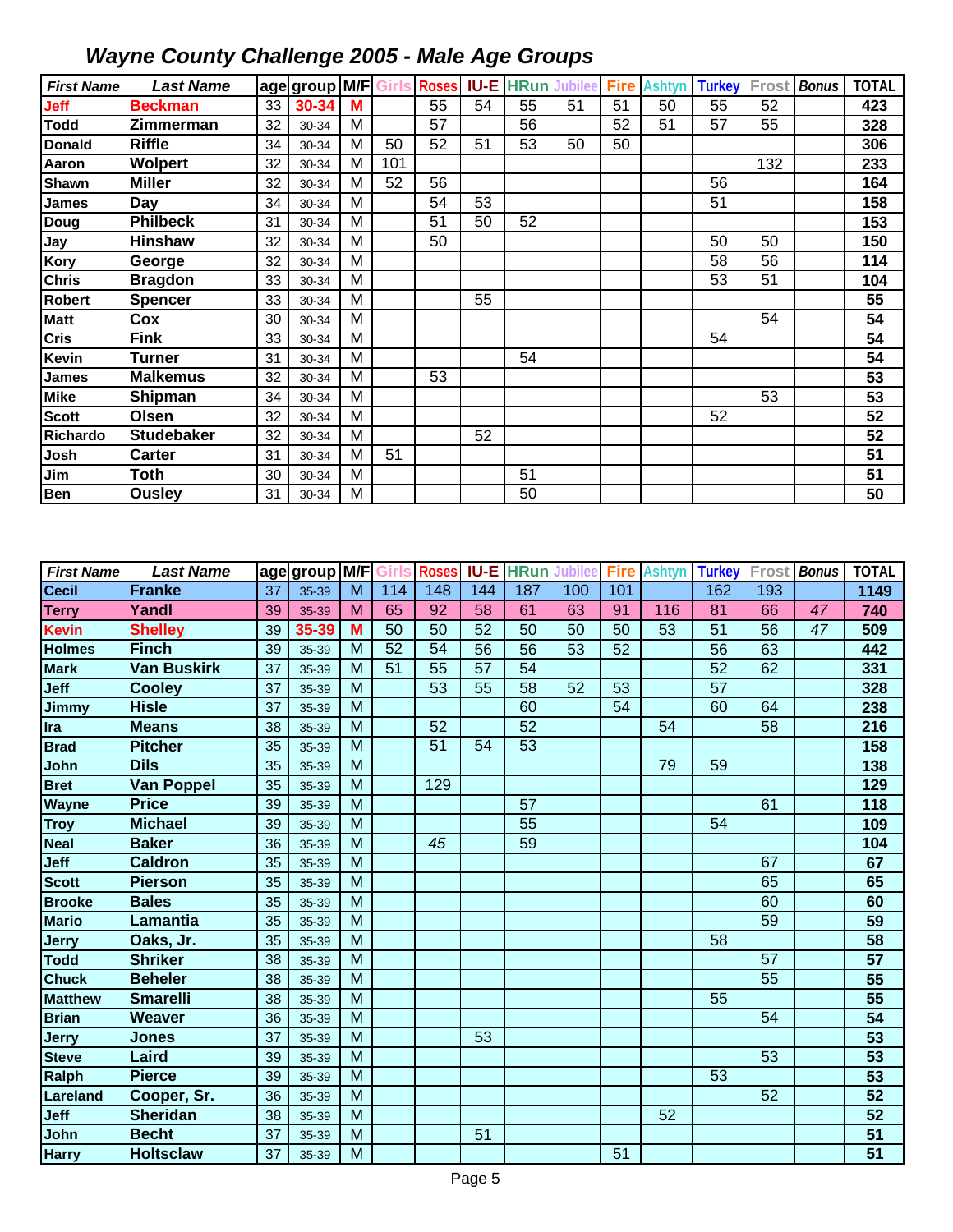| <b>First Name</b> | <b>Last Name</b>  |    | age group M/F Girls Roses |   |     |    |    | <b>IU-E HRun</b> | <b>Jubilee</b> | <b>Fire</b> | <b>Ashtyn</b> | <b>Turkey</b> | Frost | <b>Bonus</b> | <b>TOTAL</b>    |
|-------------------|-------------------|----|---------------------------|---|-----|----|----|------------------|----------------|-------------|---------------|---------------|-------|--------------|-----------------|
| Jeff              | <b>Beckman</b>    | 33 | 30-34                     | M |     | 55 | 54 | 55               | 51             | 51          | 50            | 55            | 52    |              | 423             |
| <b>Todd</b>       | Zimmerman         | 32 | 30-34                     | M |     | 57 |    | 56               |                | 52          | 51            | 57            | 55    |              | 328             |
| <b>Donald</b>     | <b>Riffle</b>     | 34 | 30-34                     | M | 50  | 52 | 51 | 53               | 50             | 50          |               |               |       |              | 306             |
| Aaron             | <b>Wolpert</b>    | 32 | 30-34                     | M | 101 |    |    |                  |                |             |               |               | 132   |              | 233             |
| Shawn             | <b>Miller</b>     | 32 | 30-34                     | M | 52  | 56 |    |                  |                |             |               | 56            |       |              | 164             |
| James             | Day               | 34 | 30-34                     | М |     | 54 | 53 |                  |                |             |               | 51            |       |              | 158             |
| Doug              | <b>Philbeck</b>   | 31 | 30-34                     | м |     | 51 | 50 | 52               |                |             |               |               |       |              | 153             |
| Jay               | <b>Hinshaw</b>    | 32 | 30-34                     | M |     | 50 |    |                  |                |             |               | 50            | 50    |              | 150             |
| Kory              | George            | 32 | 30-34                     | M |     |    |    |                  |                |             |               | 58            | 56    |              | 114             |
| <b>Chris</b>      | <b>Bragdon</b>    | 33 | 30-34                     | M |     |    |    |                  |                |             |               | 53            | 51    |              | 104             |
| <b>Robert</b>     | <b>Spencer</b>    | 33 | 30-34                     | M |     |    | 55 |                  |                |             |               |               |       |              | 55              |
| <b>Matt</b>       | Cox               | 30 | 30-34                     | M |     |    |    |                  |                |             |               |               | 54    |              | 54              |
| <b>Cris</b>       | <b>Fink</b>       | 33 | 30-34                     | M |     |    |    |                  |                |             |               | 54            |       |              | 54              |
| Kevin             | <b>Turner</b>     | 31 | 30-34                     | M |     |    |    | 54               |                |             |               |               |       |              | 54              |
| James             | <b>Malkemus</b>   | 32 | 30-34                     | M |     | 53 |    |                  |                |             |               |               |       |              | 53              |
| <b>Mike</b>       | Shipman           | 34 | 30-34                     | M |     |    |    |                  |                |             |               |               | 53    |              | 53              |
| <b>Scott</b>      | Olsen             | 32 | 30-34                     | M |     |    |    |                  |                |             |               | 52            |       |              | 52              |
| Richardo          | <b>Studebaker</b> | 32 | 30-34                     | M |     |    | 52 |                  |                |             |               |               |       |              | 52              |
| Josh              | <b>Carter</b>     | 31 | 30-34                     | М | 51  |    |    |                  |                |             |               |               |       |              | 51              |
| Jim               | <b>Toth</b>       | 30 | 30-34                     | M |     |    |    | 51               |                |             |               |               |       |              | 51              |
| Ben               | <b>Ousley</b>     | 31 | 30-34                     | M |     |    |    | 50               |                |             |               |               |       |              | $\overline{50}$ |

| <b>First Name</b> | <b>Last Name</b>   |    | age group M/F Girls |                |                 | <b>Roses</b> |     | <b>IU-E HRun</b> | Jubilee | <b>Fire</b> | <b>Ashtyn</b> | <b>Turkey</b>   |                 | Frost Bonus | <b>TOTAL</b>    |
|-------------------|--------------------|----|---------------------|----------------|-----------------|--------------|-----|------------------|---------|-------------|---------------|-----------------|-----------------|-------------|-----------------|
| <b>Cecil</b>      | <b>Franke</b>      | 37 | 35-39               | M              | 114             | 148          | 144 | 187              | 100     | 101         |               | 162             | 193             |             | 1149            |
| <b>Terry</b>      | Yandl              | 39 | 35-39               | M              | 65              | 92           | 58  | 61               | 63      | 91          | 116           | 81              | 66              | 47          | 740             |
| <b>Kevin</b>      | <b>Shelley</b>     | 39 | 35-39               | M              | $\overline{50}$ | 50           | 52  | 50               | 50      | 50          | 53            | $\overline{51}$ | 56              | 47          | 509             |
| <b>Holmes</b>     | <b>Finch</b>       | 39 | 35-39               | M              | 52              | 54           | 56  | 56               | 53      | 52          |               | 56              | 63              |             | 442             |
| <b>Mark</b>       | <b>Van Buskirk</b> | 37 | 35-39               | M              | 51              | 55           | 57  | 54               |         |             |               | 52              | 62              |             | 331             |
| Jeff              | <b>Cooley</b>      | 37 | 35-39               | M              |                 | 53           | 55  | 58               | 52      | 53          |               | 57              |                 |             | 328             |
| <b>Jimmy</b>      | <b>Hisle</b>       | 37 | 35-39               | M              |                 |              |     | 60               |         | 54          |               | 60              | 64              |             | 238             |
| Ira               | <b>Means</b>       | 38 | 35-39               | M              |                 | 52           |     | $\overline{52}$  |         |             | 54            |                 | 58              |             | 216             |
| <b>Brad</b>       | <b>Pitcher</b>     | 35 | 35-39               | M              |                 | 51           | 54  | 53               |         |             |               |                 |                 |             | 158             |
| John              | <b>Dils</b>        | 35 | 35-39               | M              |                 |              |     |                  |         |             | 79            | 59              |                 |             | 138             |
| <b>Bret</b>       | Van Poppel         | 35 | 35-39               | $\overline{M}$ |                 | 129          |     |                  |         |             |               |                 |                 |             | 129             |
| <b>Wayne</b>      | <b>Price</b>       | 39 | 35-39               | M              |                 |              |     | 57               |         |             |               |                 | 61              |             | 118             |
| <b>Troy</b>       | <b>Michael</b>     | 39 | 35-39               | $\overline{M}$ |                 |              |     | $\overline{55}$  |         |             |               | 54              |                 |             | 109             |
| <b>Neal</b>       | <b>Baker</b>       | 36 | 35-39               | M              |                 | 45           |     | 59               |         |             |               |                 |                 |             | 104             |
| Jeff              | <b>Caldron</b>     | 35 | 35-39               | M              |                 |              |     |                  |         |             |               |                 | 67              |             | 67              |
| <b>Scott</b>      | <b>Pierson</b>     | 35 | 35-39               | M              |                 |              |     |                  |         |             |               |                 | 65              |             | 65              |
| <b>Brooke</b>     | <b>Bales</b>       | 35 | 35-39               | M              |                 |              |     |                  |         |             |               |                 | 60              |             | 60              |
| <b>Mario</b>      | Lamantia           | 35 | 35-39               | M              |                 |              |     |                  |         |             |               |                 | $\overline{59}$ |             | 59              |
| <b>Jerry</b>      | Oaks, Jr.          | 35 | 35-39               | M              |                 |              |     |                  |         |             |               | 58              |                 |             | 58              |
| Todd              | <b>Shriker</b>     | 38 | 35-39               | M              |                 |              |     |                  |         |             |               |                 | 57              |             | 57              |
| <b>Chuck</b>      | <b>Beheler</b>     | 38 | 35-39               | M              |                 |              |     |                  |         |             |               |                 | 55              |             | $\overline{55}$ |
| <b>Matthew</b>    | <b>Smarelli</b>    | 38 | 35-39               | M              |                 |              |     |                  |         |             |               | 55              |                 |             | 55              |
| <b>Brian</b>      | Weaver             | 36 | 35-39               | M              |                 |              |     |                  |         |             |               |                 | 54              |             | 54              |
| <b>Jerry</b>      | <b>Jones</b>       | 37 | 35-39               | M              |                 |              | 53  |                  |         |             |               |                 |                 |             | 53              |
| <b>Steve</b>      | Laird              | 39 | 35-39               | M              |                 |              |     |                  |         |             |               |                 | 53              |             | $\overline{53}$ |
| Ralph             | <b>Pierce</b>      | 39 | 35-39               | M              |                 |              |     |                  |         |             |               | 53              |                 |             | 53              |
| Lareland          | Cooper, Sr.        | 36 | 35-39               | M              |                 |              |     |                  |         |             |               |                 | 52              |             | $\overline{52}$ |
| Jeff              | <b>Sheridan</b>    | 38 | 35-39               | M              |                 |              |     |                  |         |             | 52            |                 |                 |             | $\overline{52}$ |
| John              | <b>Becht</b>       | 37 | 35-39               | M              |                 |              | 51  |                  |         |             |               |                 |                 |             | 51              |
| <b>Harry</b>      | <b>Holtsclaw</b>   | 37 | 35-39               | M              |                 |              |     |                  |         | 51          |               |                 |                 |             | 51              |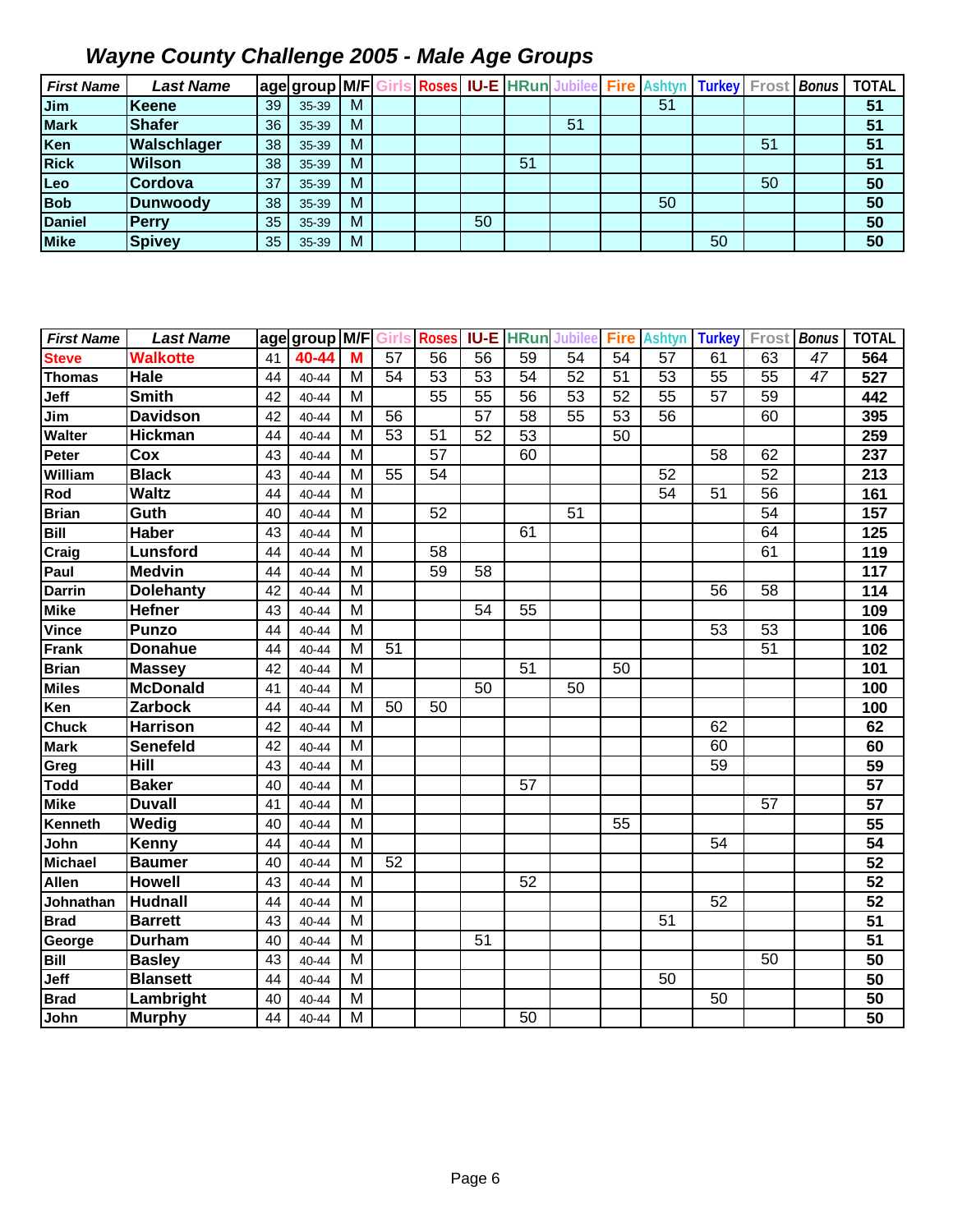| <b>First Name</b>   | <b>Last Name</b>                 |          | age group M/F Girls |        |                 |                 |             |                     | <b>Roses IU-E HRun Jubilee</b> |                 | <b>Fire Ashtyn</b> | Turkey Frost Bonus |       |              | <b>TOTAL</b>    |
|---------------------|----------------------------------|----------|---------------------|--------|-----------------|-----------------|-------------|---------------------|--------------------------------|-----------------|--------------------|--------------------|-------|--------------|-----------------|
| Jim                 | <b>Keene</b>                     | 39       | 35-39               | M      |                 |                 |             |                     |                                |                 | $\overline{51}$    |                    |       |              | 51              |
| <b>Mark</b>         | <b>Shafer</b>                    | 36       | 35-39               | M      |                 |                 |             |                     | 51                             |                 |                    |                    |       |              | 51              |
| Ken                 | Walschlager                      | 38       | 35-39               | M      |                 |                 |             |                     |                                |                 |                    |                    | 51    |              | 51              |
| <b>Rick</b>         | <b>Wilson</b>                    | 38       | 35-39               | M      |                 |                 |             | 51                  |                                |                 |                    |                    |       |              | 51              |
| Leo                 | Cordova                          | 37       | 35-39               | M      |                 |                 |             |                     |                                |                 |                    |                    | 50    |              | 50              |
| <b>Bob</b>          | <b>Dunwoody</b>                  | 38       | 35-39               | M      |                 |                 |             |                     |                                |                 | 50                 |                    |       |              | 50              |
| <b>Daniel</b>       | <b>Perry</b>                     | 35       | 35-39               | M      |                 |                 | 50          |                     |                                |                 |                    |                    |       |              | $\overline{50}$ |
| <b>Mike</b>         | <b>Spivey</b>                    | 35       | 35-39               | M      |                 |                 |             |                     |                                |                 |                    | 50                 |       |              | 50              |
| <b>First Name</b>   | <b>Last Name</b>                 |          | age group M/F       |        | Girls           | <b>Roses</b>    | <b>IU-E</b> | <b>HRun</b> Jubilee |                                | <b>Fire</b>     | <b>Ashtyn</b>      | <b>Turkey</b>      | Frost | <b>Bonus</b> | <b>TOTAL</b>    |
| <b>Steve</b>        | <b>Walkotte</b>                  | 41       | 40-44               | M      | $\overline{57}$ | 56              | 56          | 59                  | 54                             | 54              | 57                 | 61                 | 63    | 47           | 564             |
| <b>Thomas</b>       | Hale                             | 44       | 40-44               | M      | 54              | 53              | 53          | 54                  | $\overline{52}$                | 51              | 53                 | 55                 | 55    | 47           | 527             |
| Jeff                | <b>Smith</b>                     | 42       | 40-44               | M      |                 | $\overline{55}$ | 55          | 56                  | $\overline{53}$                | $\overline{52}$ | 55                 | $\overline{57}$    | 59    |              | 442             |
| Jim                 | <b>Davidson</b>                  | 42       | 40-44               | M      | 56              |                 | 57          | 58                  | 55                             | 53              | 56                 |                    | 60    |              | 395             |
| Walter              | <b>Hickman</b>                   | 44       | 40-44               | M      | $\overline{53}$ | $\overline{51}$ | 52          | 53                  |                                | 50              |                    |                    |       |              | 259             |
| Peter               | Cox                              | 43       | 40-44               | M      |                 | $\overline{57}$ |             | 60                  |                                |                 |                    | 58                 | 62    |              | 237             |
| William             | <b>Black</b>                     | 43       | 40-44               | M      | $\overline{55}$ | 54              |             |                     |                                |                 | 52                 |                    | 52    |              | 213             |
| Rod                 | <b>Waltz</b>                     | 44       | 40-44               | M      |                 |                 |             |                     |                                |                 | 54                 | 51                 | 56    |              | 161             |
| <b>Brian</b>        | Guth                             | 40       | 40-44               | M      |                 | 52              |             |                     | $\overline{51}$                |                 |                    |                    | 54    |              | 157             |
| Bill                | <b>Haber</b>                     | 43       | 40-44               | M      |                 |                 |             | 61                  |                                |                 |                    |                    | 64    |              | 125             |
| Craig               | <b>Lunsford</b>                  | 44       | 40-44               | M      |                 | 58              |             |                     |                                |                 |                    |                    | 61    |              | 119             |
| Paul                | <b>Medvin</b>                    | 44       | 40-44               | M      |                 | 59              | 58          |                     |                                |                 |                    |                    |       |              | 117             |
| <b>Darrin</b>       | <b>Dolehanty</b>                 | 42       | 40-44               | M      |                 |                 |             |                     |                                |                 |                    | 56                 | 58    |              | 114             |
| <b>Mike</b>         | <b>Hefner</b>                    | 43       | 40-44               | M      |                 |                 | 54          | 55                  |                                |                 |                    |                    |       |              | 109             |
| <b>Vince</b>        | <b>Punzo</b>                     | 44       | 40-44               | M      |                 |                 |             |                     |                                |                 |                    | 53                 | 53    |              | 106             |
| <b>Frank</b>        | <b>Donahue</b>                   | 44       | 40-44               | M      | 51              |                 |             |                     |                                |                 |                    |                    | 51    |              | 102             |
| <b>Brian</b>        | <b>Massey</b>                    | 42       | 40-44               | M      |                 |                 |             | 51                  |                                | 50              |                    |                    |       |              | 101             |
| <b>Miles</b>        | <b>McDonald</b>                  | 41       | 40-44               | M      |                 |                 | 50          |                     | 50                             |                 |                    |                    |       |              | 100             |
| Ken                 | <b>Zarbock</b>                   | 44       | 40-44               | M      | 50              | 50              |             |                     |                                |                 |                    |                    |       |              | 100             |
| <b>Chuck</b>        | <b>Harrison</b>                  | 42       | 40-44               | M      |                 |                 |             |                     |                                |                 |                    | 62                 |       |              | 62              |
| <b>Mark</b>         | <b>Senefeld</b>                  | 42       | 40-44               | M      |                 |                 |             |                     |                                |                 |                    | 60                 |       |              | 60              |
| Greg                | <b>Hill</b>                      | 43       | 40-44               | M      |                 |                 |             |                     |                                |                 |                    | 59                 |       |              | 59              |
| <b>Todd</b>         | <b>Baker</b>                     | 40       | 40-44               | M      |                 |                 |             | 57                  |                                |                 |                    |                    |       |              | 57              |
| <b>Mike</b>         | <b>Duvall</b>                    | 41       | 40-44               | M      |                 |                 |             |                     |                                |                 |                    |                    | 57    |              | 57              |
| Kenneth             | Wedig                            | 40       | 40-44               | M      |                 |                 |             |                     |                                | 55              |                    |                    |       |              | 55              |
| John                | Kenny                            | 44       | 40-44               | M      |                 |                 |             |                     |                                |                 |                    | 54                 |       |              | 54              |
| <b>Michael</b>      | <b>Baumer</b>                    | 40       | 40-44               | M      | 52              |                 |             |                     |                                |                 |                    |                    |       |              | 52              |
| <b>Allen</b>        | Howell                           | 43       | 40-44               | M      |                 |                 |             | 52                  |                                |                 |                    |                    |       |              | 52              |
| Johnathan           | <b>Hudnall</b>                   | 44       | 40-44               | M      |                 |                 |             |                     |                                |                 |                    | 52                 |       |              | 52              |
| <b>Brad</b>         | <b>Barrett</b>                   | 43       | 40-44               | M      |                 |                 |             |                     |                                |                 | 51                 |                    |       |              | 51              |
| George              | <b>Durham</b>                    | 40       | 40-44               | M<br>M |                 |                 | 51          |                     |                                |                 |                    |                    |       |              | 51              |
| <b>Bill</b>         | <b>Basley</b><br><b>Blansett</b> | 43       | 40-44               |        |                 |                 |             |                     |                                |                 |                    |                    | 50    |              | 50<br>50        |
| Jeff<br><b>Brad</b> | Lambright                        | 44<br>40 | 40-44<br>40-44      | M<br>M |                 |                 |             |                     |                                |                 | 50                 | 50                 |       |              | 50              |
| John                | <b>Murphy</b>                    | 44       | 40-44               | M      |                 |                 |             | 50                  |                                |                 |                    |                    |       |              | 50              |
|                     |                                  |          |                     |        |                 |                 |             |                     |                                |                 |                    |                    |       |              |                 |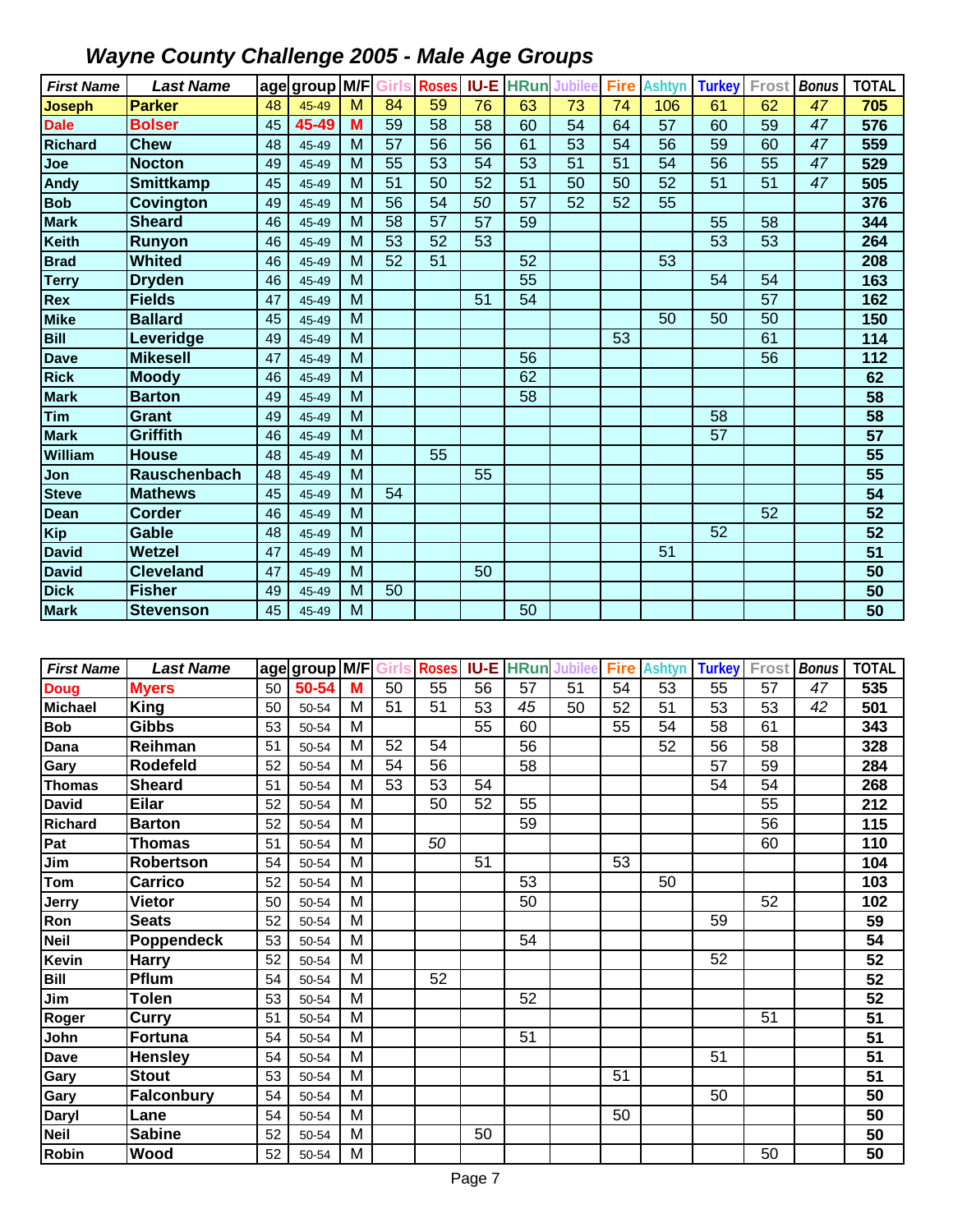| <b>First Name</b> | <b>Last Name</b> |    | age group M/F Girls |   |                 | <b>Roses</b>    | <b>IU-E</b> | <b>HRun</b>     | <b>Jubilee</b>  | <b>Fire</b> | <b>Ashtyn</b> | <b>Turkey</b> | Frost | <b>Bonus</b> | <b>TOTAL</b>    |
|-------------------|------------------|----|---------------------|---|-----------------|-----------------|-------------|-----------------|-----------------|-------------|---------------|---------------|-------|--------------|-----------------|
| <b>Joseph</b>     | <b>Parker</b>    | 48 | 45-49               | M | 84              | 59              | 76          | 63              | 73              | 74          | 106           | 61            | 62    | 47           | 705             |
| <b>Dale</b>       | Bolser           | 45 | 45-49               | M | 59              | 58              | 58          | 60              | 54              | 64          | 57            | 60            | 59    | 47           | 576             |
| <b>Richard</b>    | <b>Chew</b>      | 48 | 45-49               | M | 57              | 56              | 56          | 61              | 53              | 54          | 56            | 59            | 60    | 47           | 559             |
| Joe               | <b>Nocton</b>    | 49 | 45-49               | M | 55              | 53              | 54          | 53              | 51              | 51          | 54            | 56            | 55    | 47           | 529             |
| <b>Andy</b>       | <b>Smittkamp</b> | 45 | 45-49               | M | $\overline{51}$ | 50              | 52          | 51              | 50              | 50          | 52            | 51            | 51    | 47           | 505             |
| <b>Bob</b>        | <b>Covington</b> | 49 | 45-49               | M | $\overline{56}$ | 54              | 50          | $\overline{57}$ | $\overline{52}$ | 52          | 55            |               |       |              | 376             |
| <b>Mark</b>       | <b>Sheard</b>    | 46 | 45-49               | M | 58              | 57              | 57          | 59              |                 |             |               | 55            | 58    |              | 344             |
| <b>Keith</b>      | Runyon           | 46 | 45-49               | M | $\overline{53}$ | $\overline{52}$ | 53          |                 |                 |             |               | 53            | 53    |              | 264             |
| <b>Brad</b>       | Whited           | 46 | 45-49               | M | 52              | 51              |             | 52              |                 |             | 53            |               |       |              | 208             |
| <b>Terry</b>      | <b>Dryden</b>    | 46 | 45-49               | M |                 |                 |             | 55              |                 |             |               | 54            | 54    |              | 163             |
| Rex               | <b>Fields</b>    | 47 | 45-49               | M |                 |                 | 51          | 54              |                 |             |               |               | 57    |              | 162             |
| <b>Mike</b>       | <b>Ballard</b>   | 45 | 45-49               | M |                 |                 |             |                 |                 |             | 50            | 50            | 50    |              | 150             |
| <b>Bill</b>       | Leveridge        | 49 | 45-49               | M |                 |                 |             |                 |                 | 53          |               |               | 61    |              | 114             |
| <b>Dave</b>       | <b>Mikesell</b>  | 47 | 45-49               | M |                 |                 |             | 56              |                 |             |               |               | 56    |              | $\frac{1}{12}$  |
| <b>Rick</b>       | <b>Moody</b>     | 46 | 45-49               | M |                 |                 |             | 62              |                 |             |               |               |       |              | 62              |
| <b>Mark</b>       | <b>Barton</b>    | 49 | 45-49               | M |                 |                 |             | 58              |                 |             |               |               |       |              | 58              |
| Tim               | <b>Grant</b>     | 49 | 45-49               | M |                 |                 |             |                 |                 |             |               | 58            |       |              | 58              |
| <b>Mark</b>       | Griffith         | 46 | 45-49               | M |                 |                 |             |                 |                 |             |               | 57            |       |              | $\overline{57}$ |
| William           | <b>House</b>     | 48 | 45-49               | M |                 | 55              |             |                 |                 |             |               |               |       |              | 55              |
| Jon               | Rauschenbach     | 48 | 45-49               | M |                 |                 | 55          |                 |                 |             |               |               |       |              | 55              |
| <b>Steve</b>      | <b>Mathews</b>   | 45 | 45-49               | M | 54              |                 |             |                 |                 |             |               |               |       |              | 54              |
| <b>Dean</b>       | <b>Corder</b>    | 46 | 45-49               | M |                 |                 |             |                 |                 |             |               |               | 52    |              | 52              |
| <b>Kip</b>        | Gable            | 48 | 45-49               | M |                 |                 |             |                 |                 |             |               | 52            |       |              | 52              |
| <b>David</b>      | Wetzel           | 47 | 45-49               | M |                 |                 |             |                 |                 |             | 51            |               |       |              | 51              |
| <b>David</b>      | <b>Cleveland</b> | 47 | 45-49               | M |                 |                 | 50          |                 |                 |             |               |               |       |              | 50              |
| <b>Dick</b>       | <b>Fisher</b>    | 49 | 45-49               | M | 50              |                 |             |                 |                 |             |               |               |       |              | 50              |
| <b>Mark</b>       | <b>Stevenson</b> | 45 | 45-49               | M |                 |                 |             | 50              |                 |             |               |               |       |              | 50              |

| <b>First Name</b> | <b>Last Name</b>  |    | age group M/F Girls |   |    | <b>Roses</b> |    | <b>IU-E HRun</b> | <b>Jubilee</b> | <b>Fire</b> | <b>Ashtyn</b> | <b>Turkey</b> | Frost | <b>Bonus</b> | <b>TOTAL</b>    |
|-------------------|-------------------|----|---------------------|---|----|--------------|----|------------------|----------------|-------------|---------------|---------------|-------|--------------|-----------------|
| <b>Doug</b>       | <b>Myers</b>      | 50 | 50-54               | M | 50 | 55           | 56 | 57               | 51             | 54          | 53            | 55            | 57    | 47           | 535             |
| <b>Michael</b>    | <b>King</b>       | 50 | 50-54               | M | 51 | 51           | 53 | 45               | 50             | 52          | 51            | 53            | 53    | 42           | 501             |
| <b>Bob</b>        | <b>Gibbs</b>      | 53 | 50-54               | M |    |              | 55 | 60               |                | 55          | 54            | 58            | 61    |              | 343             |
| Dana              | Reihman           | 51 | 50-54               | М | 52 | 54           |    | 56               |                |             | 52            | 56            | 58    |              | 328             |
| Gary              | Rodefeld          | 52 | 50-54               | M | 54 | 56           |    | 58               |                |             |               | 57            | 59    |              | 284             |
| <b>Thomas</b>     | <b>Sheard</b>     | 51 | 50-54               | M | 53 | 53           | 54 |                  |                |             |               | 54            | 54    |              | 268             |
| <b>David</b>      | <b>Eilar</b>      | 52 | 50-54               | M |    | 50           | 52 | 55               |                |             |               |               | 55    |              | 212             |
| <b>Richard</b>    | <b>Barton</b>     | 52 | 50-54               | M |    |              |    | 59               |                |             |               |               | 56    |              | 115             |
| Pat               | <b>Thomas</b>     | 51 | 50-54               | M |    | 50           |    |                  |                |             |               |               | 60    |              | 110             |
| Jim               | <b>Robertson</b>  | 54 | 50-54               | M |    |              | 51 |                  |                | 53          |               |               |       |              | 104             |
| Tom               | <b>Carrico</b>    | 52 | 50-54               | M |    |              |    | 53               |                |             | 50            |               |       |              | 103             |
| Jerry             | <b>Vietor</b>     | 50 | 50-54               | M |    |              |    | 50               |                |             |               |               | 52    |              | 102             |
| Ron               | <b>Seats</b>      | 52 | 50-54               | M |    |              |    |                  |                |             |               | 59            |       |              | 59              |
| <b>Neil</b>       | Poppendeck        | 53 | 50-54               | M |    |              |    | 54               |                |             |               |               |       |              | 54              |
| Kevin             | Harry             | 52 | 50-54               | M |    |              |    |                  |                |             |               | 52            |       |              | 52              |
| <b>Bill</b>       | Pflum             | 54 | 50-54               | M |    | 52           |    |                  |                |             |               |               |       |              | 52              |
| Jim               | <b>Tolen</b>      | 53 | 50-54               | M |    |              |    | 52               |                |             |               |               |       |              | 52              |
| Roger             | Curry             | 51 | 50-54               | M |    |              |    |                  |                |             |               |               | 51    |              | 51              |
| John              | <b>Fortuna</b>    | 54 | 50-54               | M |    |              |    | 51               |                |             |               |               |       |              | $\overline{51}$ |
| <b>Dave</b>       | <b>Hensley</b>    | 54 | 50-54               | M |    |              |    |                  |                |             |               | 51            |       |              | $\overline{51}$ |
| Gary              | <b>Stout</b>      | 53 | 50-54               | M |    |              |    |                  |                | 51          |               |               |       |              | 51              |
| Gary              | <b>Falconbury</b> | 54 | 50-54               | M |    |              |    |                  |                |             |               | 50            |       |              | 50              |
| Daryl             | Lane              | 54 | 50-54               | M |    |              |    |                  |                | 50          |               |               |       |              | 50              |
| <b>Neil</b>       | <b>Sabine</b>     | 52 | 50-54               | M |    |              | 50 |                  |                |             |               |               |       |              | 50              |
| Robin             | Wood              | 52 | 50-54               | M |    |              |    |                  |                |             |               |               | 50    |              | 50              |